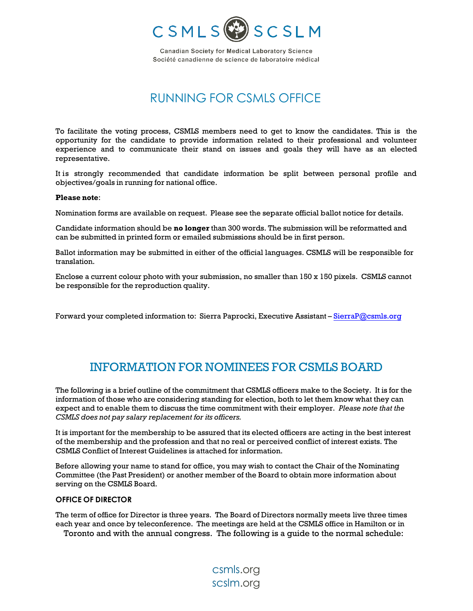

**Canadian Society for Medical Laboratory Science** Société canadienne de science de laboratoire médical

# RUNNING FOR CSMLS OFFICE

To facilitate the voting process, CSMLS members need to get to know the candidates. This is the opportunity for the candidate to provide information related to their professional and volunteer experience and to communicate their stand on issues and goals they will have as an elected representative.

It is strongly recommended that candidate information be split between personal profile and objectives/goals in running for national office.

#### **Please note**:

Nomination forms are available on request. Please see the separate official ballot notice for details.

Candidate information should be **no longer** than 300 words. The submission will be reformatted and can be submitted in printed form or emailed submissions should be in first person.

Ballot information may be submitted in either of the official languages. CSMLS will be responsible for translation.

Enclose a current colour photo with your submission, no smaller than 150 x 150 pixels. CSMLS cannot be responsible for the reproduction quality.

Forward your completed information to: Sierra Paprocki, Executive Assistant – SierraP[@csmls.org](mailto:lindseym@csmls.org)

## INFORMATION FOR NOMINEES FOR CSMLS BOARD

The following is a brief outline of the commitment that CSMLS officers make to the Society. It is for the information of those who are considering standing for election, both to let them know what they can expect and to enable them to discuss the time commitment with their employer. *Please note that the CSMLS does not pay salary replacement for its officers.*

It is important for the membership to be assured that its elected officers are acting in the best interest of the membership and the profession and that no real or perceived conflict of interest exists. The CSMLS Conflict of Interest Guidelines is attached for information.

Before allowing your name to stand for office, you may wish to contact the Chair of the Nominating Committee (the Past President) or another member of the Board to obtain more information about serving on the CSMLS Board.

### **OFFICE OF DIRECTOR**

The term of office for Director is three years. The Board of Directors normally meets live three times each year and once by teleconference. The meetings are held at the CSMLS office in Hamilton or in Toronto and with the annual congress. The following is a guide to the normal schedule:

> csmls.org scslm.org